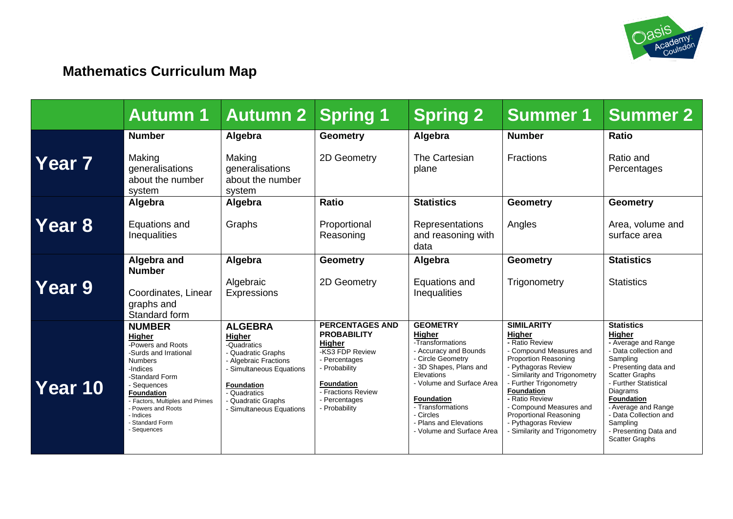

# **Mathematics Curriculum Map**

|                | <b>Autumn 1</b>                                                                                                                                                                                                                                                 | <b>Autumn 2</b>                                                                                                                                                                                    | <b>Spring 1</b>                                                                                                                                                                               | <b>Spring 2</b>                                                                                                                                                                                                                                                                       | <b>Summer 1</b>                                                                                                                                                                                                                                                                                                                                      | <b>Summer 2</b>                                                                                                                                                                                                                                                                                                          |
|----------------|-----------------------------------------------------------------------------------------------------------------------------------------------------------------------------------------------------------------------------------------------------------------|----------------------------------------------------------------------------------------------------------------------------------------------------------------------------------------------------|-----------------------------------------------------------------------------------------------------------------------------------------------------------------------------------------------|---------------------------------------------------------------------------------------------------------------------------------------------------------------------------------------------------------------------------------------------------------------------------------------|------------------------------------------------------------------------------------------------------------------------------------------------------------------------------------------------------------------------------------------------------------------------------------------------------------------------------------------------------|--------------------------------------------------------------------------------------------------------------------------------------------------------------------------------------------------------------------------------------------------------------------------------------------------------------------------|
| Year 7         | <b>Number</b><br>Making<br>generalisations<br>about the number<br>system                                                                                                                                                                                        | Algebra<br>Making<br>generalisations<br>about the number<br>system                                                                                                                                 | <b>Geometry</b><br>2D Geometry                                                                                                                                                                | Algebra<br>The Cartesian<br>plane                                                                                                                                                                                                                                                     | <b>Number</b><br><b>Fractions</b>                                                                                                                                                                                                                                                                                                                    | <b>Ratio</b><br>Ratio and<br>Percentages                                                                                                                                                                                                                                                                                 |
| <b>Year 8</b>  | Algebra<br>Equations and<br>Inequalities                                                                                                                                                                                                                        | Algebra<br>Graphs                                                                                                                                                                                  | <b>Ratio</b><br>Proportional<br>Reasoning                                                                                                                                                     | <b>Statistics</b><br>Representations<br>and reasoning with<br>data                                                                                                                                                                                                                    | <b>Geometry</b><br>Angles                                                                                                                                                                                                                                                                                                                            | <b>Geometry</b><br>Area, volume and<br>surface area                                                                                                                                                                                                                                                                      |
| <b>Year 9</b>  | Algebra and<br><b>Number</b><br>Coordinates, Linear<br>graphs and<br>Standard form                                                                                                                                                                              | Algebra<br>Algebraic<br>Expressions                                                                                                                                                                | <b>Geometry</b><br>2D Geometry                                                                                                                                                                | Algebra<br>Equations and<br>Inequalities                                                                                                                                                                                                                                              | <b>Geometry</b><br>Trigonometry                                                                                                                                                                                                                                                                                                                      | <b>Statistics</b><br><b>Statistics</b>                                                                                                                                                                                                                                                                                   |
| <b>Year 10</b> | <b>NUMBER</b><br>Higher<br>-Powers and Roots<br>-Surds and Irrational<br><b>Numbers</b><br>-Indices<br>-Standard Form<br>- Sequences<br><b>Foundation</b><br>- Factors, Multiples and Primes<br>Powers and Roots<br>- Indices<br>- Standard Form<br>- Sequences | <b>ALGEBRA</b><br>Higher<br>-Quadratics<br>- Quadratic Graphs<br>- Algebraic Fractions<br>- Simultaneous Equations<br>Foundation<br>- Quadratics<br>- Quadratic Graphs<br>- Simultaneous Equations | <b>PERCENTAGES AND</b><br><b>PROBABILITY</b><br><b>Higher</b><br>-KS3 FDP Review<br>- Percentages<br>- Probability<br><b>Foundation</b><br>- Fractions Review<br>- Percentages<br>Probability | <b>GEOMETRY</b><br><b>Higher</b><br>-Transformations<br>- Accuracy and Bounds<br>- Circle Geometry<br>- 3D Shapes, Plans and<br>Elevations<br>- Volume and Surface Area<br><b>Foundation</b><br>- Transformations<br>- Circles<br>- Plans and Elevations<br>- Volume and Surface Area | <b>SIMILARITY</b><br><b>Higher</b><br>- Ratio Review<br>- Compound Measures and<br><b>Proportion Reasoning</b><br>- Pythagoras Review<br>- Similarity and Trigonometry<br>- Further Trigonometry<br><b>Foundation</b><br>- Ratio Review<br>- Compound Measures and<br>Proportional Reasoning<br>- Pythagoras Review<br>- Similarity and Trigonometry | <b>Statistics</b><br><b>Higher</b><br>- Average and Range<br>- Data collection and<br>Sampling<br>- Presenting data and<br><b>Scatter Graphs</b><br>- Further Statistical<br>Diagrams<br><b>Foundation</b><br>- Average and Range<br>- Data Collection and<br>Sampling<br>- Presenting Data and<br><b>Scatter Graphs</b> |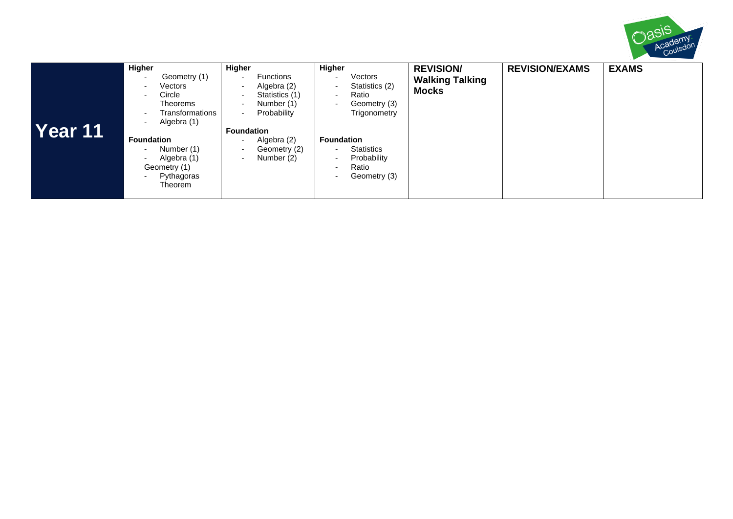

| Year 11 | Higher<br>Geometry (1)<br>Vectors<br>Circle<br>Theorems<br>Transformations<br>Algebra (1) | <b>Higher</b><br>Functions<br>Algebra (2)<br>Statistics (1)<br>Number (1)<br>Probability<br><b>Foundation</b> | Higher<br>Vectors<br>Statistics (2)<br>-<br>Ratio<br>Geometry (3)<br>-<br>Trigonometry | <b>REVISION/</b><br><b>Walking Talking</b><br><b>Mocks</b> | <b>REVISION/EXAMS</b> | <b>EXAMS</b> |
|---------|-------------------------------------------------------------------------------------------|---------------------------------------------------------------------------------------------------------------|----------------------------------------------------------------------------------------|------------------------------------------------------------|-----------------------|--------------|
|         | Foundation<br>Number (1)<br>Algebra (1)<br>Geometry (1)<br>Pythagoras<br>Theorem          | Algebra (2)<br>Geometry (2)<br>Number (2)                                                                     | <b>Foundation</b><br>Statistics<br>-<br>Probability<br>-<br>Ratio<br>Geometry (3)      |                                                            |                       |              |